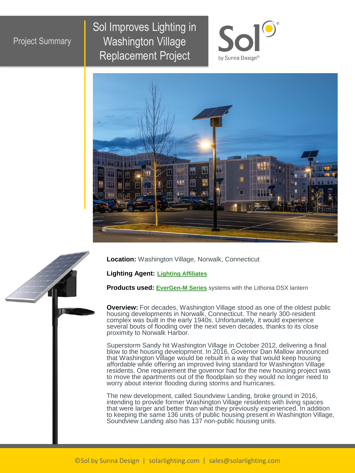## Project Summary

Sol Improves Lighting in Washington Village Replacement Project





**Location:** Washington Village, Norwalk, Connecticut

**Lighting Agent: Lighting [Affiliates](https://www.lightingaffiliates.com/)**

**Products used: [EverGen-M Series](https://solarlighting.com/product/evergen-m-series/)** systems with the Lithonia DSX lantern

**Overview:** For decades, Washington Village stood as one of the oldest public housing developments in Norwalk, Connecticut. The nearly 300-resident complex was built in the early 1940s. Unfortunately, it would experience several bouts of flooding over the next seven decades, thanks to its close proximity to Norwalk Harbor.

Superstorm Sandy hit Washington Village in October 2012, delivering a final blow to the housing development. In 2016, Governor Dan Mallow announced that Washington Village would be rebuilt in a way that would keep housing affordable while offering an improved living standard for Washington Village residents. One requirement the governor had for the new housing project was to move the apartments out of the floodplain so they would no longer need to worry about interior flooding during storms and hurricanes.

The new development, called Soundview Landing, broke ground in 2016, intending to provide former Washington Village residents with living spaces that were larger and better than what they previously experienced. In addition to keeping the same 136 units of public housing present in Washington Village, Soundview Landing also has 137 non-public housing units.